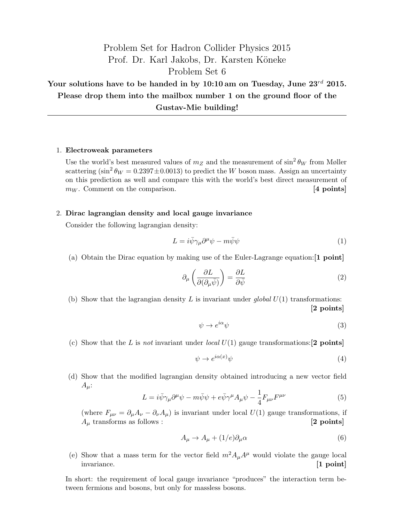## Problem Set for Hadron Collider Physics 2015 Prof. Dr. Karl Jakobs, Dr. Karsten Köneke Problem Set 6

Your solutions have to be handed in by  $10:10$  am on Tuesday, June  $23^{rd}$  2015. Please drop them into the mailbox number 1 on the ground floor of the Gustav-Mie building!

## 1. Electroweak parameters

Use the world's best measured values of  $m_Z$  and the measurement of  $\sin^2 \theta_W$  from Møller scattering  $(\sin^2 \theta_W = 0.2397 \pm 0.0013)$  to predict the W boson mass. Assign an uncertainty on this prediction as well and compare this with the world's best direct measurement of  $m_W$ . Comment on the comparison. [4 points]

## 2. Dirac lagrangian density and local gauge invariance

Consider the following lagrangian density:

$$
L = i\bar{\psi}\gamma_{\mu}\partial^{\mu}\psi - m\bar{\psi}\psi \tag{1}
$$

(a) Obtain the Dirac equation by making use of the Euler-Lagrange equation:[1 point]

$$
\partial_{\mu} \left( \frac{\partial L}{\partial (\partial_{\mu} \bar{\psi})} \right) = \frac{\partial L}{\partial \bar{\psi}}
$$
\n(2)

(b) Show that the lagrangian density L is invariant under global  $U(1)$  transformations: [2 points]

$$
\psi \to e^{i\alpha}\psi \tag{3}
$$

(c) Show that the L is not invariant under local  $U(1)$  gauge transformations: [2 points]

$$
\psi \to e^{i\alpha(x)}\psi \tag{4}
$$

(d) Show that the modified lagrangian density obtained introducing a new vector field  $A_{\mu}$ :

$$
L = i\bar{\psi}\gamma_{\mu}\partial^{\mu}\psi - m\bar{\psi}\psi + e\bar{\psi}\gamma^{\mu}A_{\mu}\psi - \frac{1}{4}F_{\mu\nu}F^{\mu\nu}
$$
 (5)

(where  $F_{\mu\nu} = \partial_{\mu}A_{\nu} - \partial_{\nu}A_{\mu}$ ) is invariant under local  $U(1)$  gauge transformations, if A<sup>µ</sup> transforms as follows : [2 points]

$$
A_{\mu} \to A_{\mu} + (1/e)\partial_{\mu}\alpha \tag{6}
$$

(e) Show that a mass term for the vector field  $m^2 A_\mu A^\mu$  would violate the gauge local invariance. [1 point]

In short: the requirement of local gauge invariance "produces" the interaction term between fermions and bosons, but only for massless bosons.